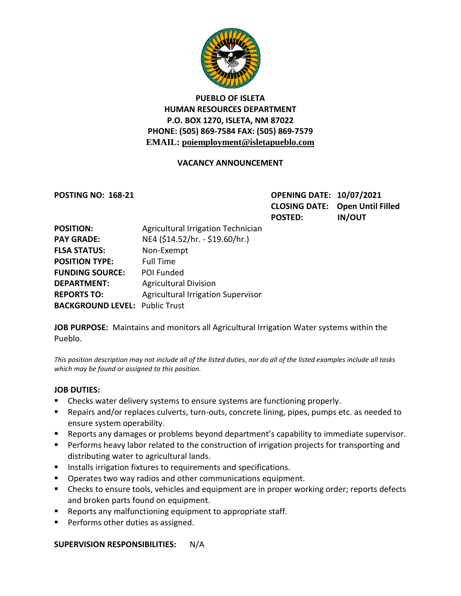

## **PUEBLO OF ISLETA HUMAN RESOURCES DEPARTMENT P.O. BOX 1270, ISLETA, NM 87022 PHONE: (505) 869-7584 FAX: (505) 869-7579 EMAIL: poiemployment@isletapueblo.com**

#### **VACANCY ANNOUNCEMENT**

**POSTING NO: 168-21 OPENING DATE: 10/07/2021 CLOSING DATE: Open Until Filled POSTED: IN/OUT**

| <b>POSITION:</b>                      | Agricultural Irrigation Technician        |
|---------------------------------------|-------------------------------------------|
| <b>PAY GRADE:</b>                     | NE4 (\$14.52/hr. - \$19.60/hr.)           |
| <b>FLSA STATUS:</b>                   | Non-Exempt                                |
| <b>POSITION TYPE:</b>                 | <b>Full Time</b>                          |
| <b>FUNDING SOURCE:</b>                | POI Funded                                |
| <b>DEPARTMENT:</b>                    | <b>Agricultural Division</b>              |
| <b>REPORTS TO:</b>                    | <b>Agricultural Irrigation Supervisor</b> |
| <b>BACKGROUND LEVEL: Public Trust</b> |                                           |

**JOB PURPOSE:** Maintains and monitors all Agricultural Irrigation Water systems within the Pueblo.

*This position description may not include all of the listed duties, nor do all of the listed examples include all tasks which may be found or assigned to this position.*

#### **JOB DUTIES:**

- **EXECT** Checks water delivery systems to ensure systems are functioning properly.
- Repairs and/or replaces culverts, turn-outs, concrete lining, pipes, pumps etc. as needed to ensure system operability.
- **EXECT** Reports any damages or problems beyond department's capability to immediate supervisor.
- **Performs heavy labor related to the construction of irrigation projects for transporting and** distributing water to agricultural lands.
- **IF Installs irrigation fixtures to requirements and specifications.**
- **Dearates two way radios and other communications equipment.**
- **EXP** Checks to ensure tools, vehicles and equipment are in proper working order; reports defects and broken parts found on equipment.
- **Reports any malfunctioning equipment to appropriate staff.**
- **Performs other duties as assigned.**

**SUPERVISION RESPONSIBILITIES:** N/A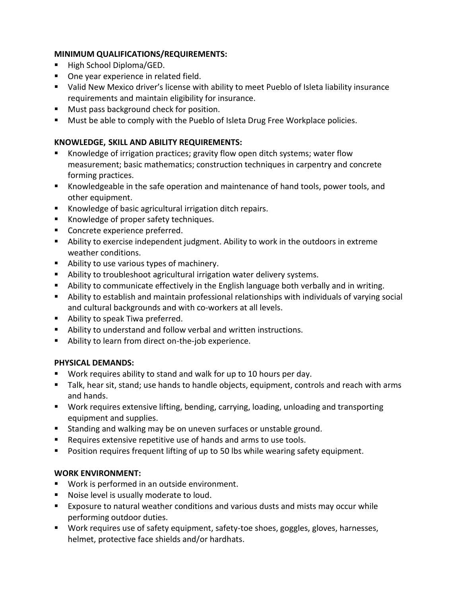#### **MINIMUM QUALIFICATIONS/REQUIREMENTS:**

- High School Diploma/GED.
- One year experience in related field.
- Valid New Mexico driver's license with ability to meet Pueblo of Isleta liability insurance requirements and maintain eligibility for insurance.
- **Must pass background check for position.**
- **Must be able to comply with the Pueblo of Isleta Drug Free Workplace policies.**

## **KNOWLEDGE, SKILL AND ABILITY REQUIREMENTS:**

- Knowledge of irrigation practices; gravity flow open ditch systems; water flow measurement; basic mathematics; construction techniques in carpentry and concrete forming practices.
- Knowledgeable in the safe operation and maintenance of hand tools, power tools, and other equipment.
- Knowledge of basic agricultural irrigation ditch repairs.
- Knowledge of proper safety techniques.
- **Concrete experience preferred.**
- Ability to exercise independent judgment. Ability to work in the outdoors in extreme weather conditions.
- Ability to use various types of machinery.
- Ability to troubleshoot agricultural irrigation water delivery systems.
- Ability to communicate effectively in the English language both verbally and in writing.
- Ability to establish and maintain professional relationships with individuals of varying social and cultural backgrounds and with co-workers at all levels.
- **Ability to speak Tiwa preferred.**
- Ability to understand and follow verbal and written instructions.
- Ability to learn from direct on-the-job experience.

#### **PHYSICAL DEMANDS:**

- Work requires ability to stand and walk for up to 10 hours per day.
- Talk, hear sit, stand; use hands to handle objects, equipment, controls and reach with arms and hands.
- Work requires extensive lifting, bending, carrying, loading, unloading and transporting equipment and supplies.
- **Standing and walking may be on uneven surfaces or unstable ground.**
- Requires extensive repetitive use of hands and arms to use tools.
- **Position requires frequent lifting of up to 50 lbs while wearing safety equipment.**

## **WORK ENVIRONMENT:**

- Work is performed in an outside environment.
- **Noise level is usually moderate to loud.**
- Exposure to natural weather conditions and various dusts and mists may occur while performing outdoor duties.
- Work requires use of safety equipment, safety-toe shoes, goggles, gloves, harnesses, helmet, protective face shields and/or hardhats.